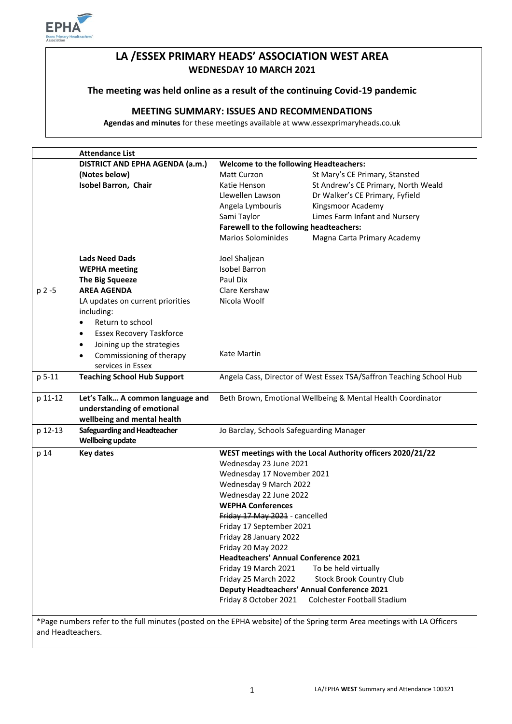

## **LA /ESSEX PRIMARY HEADS' ASSOCIATION WEST AREA WEDNESDAY 10 MARCH 2021**

#### **The meeting was held online as a result of the continuing Covid-19 pandemic**

#### **MEETING SUMMARY: ISSUES AND RECOMMENDATIONS**

**Agendas and minutes** for these meetings available at www.essexprimaryheads.co.uk

|         | <b>Attendance List</b>                       |                                                             |                                                                     |
|---------|----------------------------------------------|-------------------------------------------------------------|---------------------------------------------------------------------|
|         | DISTRICT AND EPHA AGENDA (a.m.)              | <b>Welcome to the following Headteachers:</b>               |                                                                     |
|         | (Notes below)                                | Matt Curzon                                                 | St Mary's CE Primary, Stansted                                      |
|         | Isobel Barron, Chair                         | Katie Henson                                                | St Andrew's CE Primary, North Weald                                 |
|         |                                              | Llewellen Lawson                                            | Dr Walker's CE Primary, Fyfield                                     |
|         |                                              | Angela Lymbouris                                            | Kingsmoor Academy                                                   |
|         |                                              | Sami Taylor                                                 | Limes Farm Infant and Nursery                                       |
|         |                                              | Farewell to the following headteachers:                     |                                                                     |
|         |                                              | <b>Marios Solominides</b>                                   | Magna Carta Primary Academy                                         |
|         | <b>Lads Need Dads</b>                        | Joel Shaljean                                               |                                                                     |
|         | <b>WEPHA</b> meeting                         | <b>Isobel Barron</b>                                        |                                                                     |
|         | <b>The Big Squeeze</b>                       | Paul Dix                                                    |                                                                     |
| p 2 -5  | <b>AREA AGENDA</b>                           | Clare Kershaw                                               |                                                                     |
|         | LA updates on current priorities             | Nicola Woolf                                                |                                                                     |
|         | including:                                   |                                                             |                                                                     |
|         | Return to school<br>$\bullet$                |                                                             |                                                                     |
|         | <b>Essex Recovery Taskforce</b><br>$\bullet$ |                                                             |                                                                     |
|         | Joining up the strategies<br>$\bullet$       |                                                             |                                                                     |
|         | Commissioning of therapy<br>٠                | <b>Kate Martin</b>                                          |                                                                     |
|         | services in Essex                            |                                                             |                                                                     |
| p 5-11  | <b>Teaching School Hub Support</b>           |                                                             | Angela Cass, Director of West Essex TSA/Saffron Teaching School Hub |
|         |                                              |                                                             |                                                                     |
| p 11-12 | Let's Talk A common language and             | Beth Brown, Emotional Wellbeing & Mental Health Coordinator |                                                                     |
|         | understanding of emotional                   |                                                             |                                                                     |
|         | wellbeing and mental health                  |                                                             |                                                                     |
| p 12-13 | <b>Safeguarding and Headteacher</b>          | Jo Barclay, Schools Safeguarding Manager                    |                                                                     |
|         | <b>Wellbeing update</b>                      |                                                             |                                                                     |
| p 14    | <b>Key dates</b>                             | WEST meetings with the Local Authority officers 2020/21/22  |                                                                     |
|         |                                              | Wednesday 23 June 2021                                      |                                                                     |
|         |                                              | Wednesday 17 November 2021                                  |                                                                     |
|         |                                              | Wednesday 9 March 2022                                      |                                                                     |
|         |                                              | Wednesday 22 June 2022                                      |                                                                     |
|         |                                              | <b>WEPHA Conferences</b>                                    |                                                                     |
|         |                                              | Friday 17 May 2021 - cancelled                              |                                                                     |
|         |                                              | Friday 17 September 2021                                    |                                                                     |
|         |                                              | Friday 28 January 2022                                      |                                                                     |
|         |                                              | Friday 20 May 2022                                          |                                                                     |
|         |                                              | <b>Headteachers' Annual Conference 2021</b>                 |                                                                     |
|         |                                              | Friday 19 March 2021                                        | To be held virtually                                                |
|         |                                              | Friday 25 March 2022                                        | <b>Stock Brook Country Club</b>                                     |
|         |                                              |                                                             | <b>Deputy Headteachers' Annual Conference 2021</b>                  |
|         |                                              | Friday 8 October 2021                                       | Colchester Football Stadium                                         |
|         |                                              |                                                             |                                                                     |

\*Page numbers refer to the full minutes (posted on the EPHA website) of the Spring term Area meetings with LA Officers and Headteachers.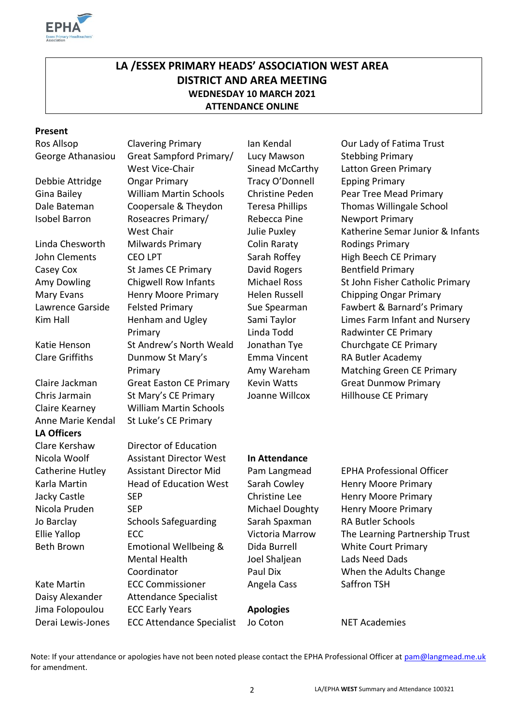

## **LA /ESSEX PRIMARY HEADS' ASSOCIATION WEST AREA DISTRICT AND AREA MEETING WEDNESDAY 10 MARCH 2021 ATTENDANCE ONLINE**

#### **Present**

Anne Marie Kendal St Luke's CE Primary **LA Officers**

Ros Allsop Clavering Primary Ian Kendal Our Lady of Fatima Trust George Athanasiou Great Sampford Primary/ West Vice-Chair Debbie Attridge Ongar Primary Tracy O'Donnell Epping Primary Gina Bailey William Martin Schools Christine Peden Pear Tree Mead Primary Isobel Barron Roseacres Primary/ West Chair Linda Chesworth Milwards Primary Colin Raraty Rodings Primary John Clements CEO LPT Sarah Roffey High Beech CE Primary Casey Cox **St James CE Primary** David Rogers Bentfield Primary Mary Evans Henry Moore Primary Helen Russell Chipping Ongar Primary Kim Hall Henham and Ugley Primary Katie Henson St Andrew's North Weald Jonathan Tye Churchgate CE Primary Clare Griffiths Dunmow St Mary's Primary Claire Jackman Great Easton CE Primary Kevin Watts Great Dunmow Primary Chris Jarmain St Mary's CE Primary Joanne Willcox Hillhouse CE Primary Claire Kearney William Martin Schools

Clare Kershaw Director of Education Nicola Woolf Assistant Director West **In Attendance** Catherine Hutley Assistant Director Mid Pam Langmead EPHA Professional Officer Karla Martin **Head of Education West** Sarah Cowley **Henry Moore Primary** Jacky Castle SEP SEP Christine Lee Henry Moore Primary Nicola Pruden SEP SEP Michael Doughty Henry Moore Primary Jo Barclay Schools Safeguarding Sarah Spaxman RA Butler Schools Beth Brown Emotional Wellbeing & Mental Health Coordinator Kate Martin **ECC Commissioner** Angela Cass Saffron TSH Daisy Alexander Attendance Specialist Jima Folopoulou ECC Early Years **Apologies** Derai Lewis-Jones ECC Attendance Specialist Jo Coton NET Academies

Lucy Mawson Sinead McCarthy Rebecca Pine Julie Puxley Sami Taylor Linda Todd Emma Vincent Amy Wareham

# Stebbing Primary Latton Green Primary Dale Bateman Coopersale & Theydon Teresa Phillips Thomas Willingale School Newport Primary Katherine Semar Junior & Infants Amy Dowling Chigwell Row Infants Michael Ross St John Fisher Catholic Primary Lawrence Garside Felsted Primary Sue Spearman Fawbert & Barnard's Primary Limes Farm Infant and Nursery Radwinter CE Primary RA Butler Academy Matching Green CE Primary

Dida Burrell Joel Shaljean Paul Dix

Ellie Yallop ECC ECC Victoria Marrow The Learning Partnership Trust White Court Primary Lads Need Dads When the Adults Change

Note: If your attendance or apologies have not been noted please contact the EPHA Professional Officer at [pam@langmead.me.uk](mailto:pam@langmead.me.uk) for amendment.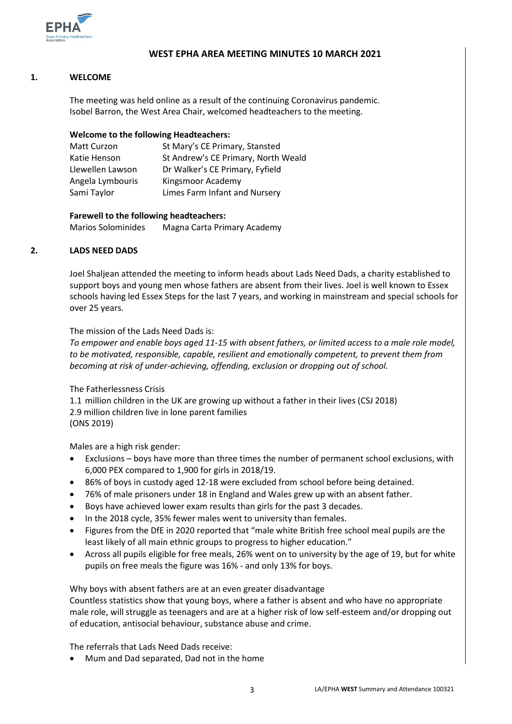

#### **WEST EPHA AREA MEETING MINUTES 10 MARCH 2021**

#### **1. WELCOME**

The meeting was held online as a result of the continuing Coronavirus pandemic. Isobel Barron, the West Area Chair, welcomed headteachers to the meeting.

#### **Welcome to the following Headteachers:**

| Matt Curzon      | St Mary's CE Primary, Stansted      |
|------------------|-------------------------------------|
| Katie Henson     | St Andrew's CE Primary, North Weald |
| Llewellen Lawson | Dr Walker's CE Primary, Fyfield     |
| Angela Lymbouris | Kingsmoor Academy                   |
| Sami Taylor      | Limes Farm Infant and Nursery       |
|                  |                                     |

#### **Farewell to the following headteachers:**

Marios Solominides Magna Carta Primary Academy

#### **2. LADS NEED DADS**

Joel Shaljean attended the meeting to inform heads about Lads Need Dads, a charity established to support boys and young men whose fathers are absent from their lives. Joel is well known to Essex schools having led Essex Steps for the last 7 years, and working in mainstream and special schools for over 25 years.

#### The mission of the Lads Need Dads is:

*To empower and enable boys aged 11-15 with absent fathers, or limited access to a male role model, to be motivated, responsible, capable, resilient and emotionally competent, to prevent them from becoming at risk of under-achieving, offending, exclusion or dropping out of school.*

#### The Fatherlessness Crisis

1.1 million children in the UK are growing up without a father in their lives (CSJ 2018) 2.9 million children live in lone parent families (ONS 2019)

Males are a high risk gender:

- Exclusions boys have more than three times the number of permanent school exclusions, with 6,000 PEX compared to 1,900 for girls in 2018/19.
- 86% of boys in custody aged 12-18 were excluded from school before being detained.
- 76% of male prisoners under 18 in England and Wales grew up with an absent father.
- Boys have achieved lower exam results than girls for the past 3 decades.
- In the 2018 cycle, 35% fewer males went to university than females.
- Figures from the DfE in 2020 reported that "male white British free school meal pupils are the least likely of all main ethnic groups to progress to higher education."
- Across all pupils eligible for free meals, 26% went on to university by the age of 19, but for white pupils on free meals the figure was 16% - and only 13% for boys.

Why boys with absent fathers are at an even greater disadvantage

Countless statistics show that young boys, where a father is absent and who have no appropriate male role, will struggle as teenagers and are at a higher risk of low self-esteem and/or dropping out of education, antisocial behaviour, substance abuse and crime.

The referrals that Lads Need Dads receive:

Mum and Dad separated, Dad not in the home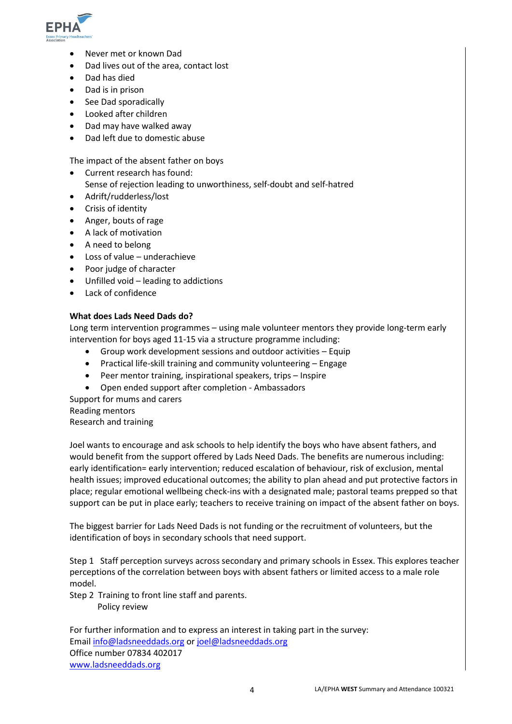

- Never met or known Dad
- Dad lives out of the area, contact lost
- Dad has died
- Dad is in prison
- See Dad sporadically
- Looked after children
- Dad may have walked away
- Dad left due to domestic abuse

The impact of the absent father on boys

- Current research has found: Sense of rejection leading to unworthiness, self-doubt and self-hatred
- Adrift/rudderless/lost
- Crisis of identity
- Anger, bouts of rage
- A lack of motivation
- A need to belong
- Loss of value underachieve
- Poor judge of character
- Unfilled void leading to addictions
- Lack of confidence

#### **What does Lads Need Dads do?**

Long term intervention programmes – using male volunteer mentors they provide long-term early intervention for boys aged 11-15 via a structure programme including:

- Group work development sessions and outdoor activities Equip
- Practical life-skill training and community volunteering Engage
- Peer mentor training, inspirational speakers, trips Inspire
- Open ended support after completion Ambassadors

Support for mums and carers Reading mentors Research and training

Joel wants to encourage and ask schools to help identify the boys who have absent fathers, and would benefit from the support offered by Lads Need Dads. The benefits are numerous including: early identification= early intervention; reduced escalation of behaviour, risk of exclusion, mental health issues; improved educational outcomes; the ability to plan ahead and put protective factors in place; regular emotional wellbeing check-ins with a designated male; pastoral teams prepped so that support can be put in place early; teachers to receive training on impact of the absent father on boys.

The biggest barrier for Lads Need Dads is not funding or the recruitment of volunteers, but the identification of boys in secondary schools that need support.

Step 1 Staff perception surveys across secondary and primary schools in Essex. This explores teacher perceptions of the correlation between boys with absent fathers or limited access to a male role model.

Step 2 Training to front line staff and parents.

Policy review

For further information and to express an interest in taking part in the survey: Email [info@ladsneeddads.org](mailto:info@ladsneeddads.org) or [joel@ladsneeddads.org](mailto:joel@ladsneeddads.org) Office number 07834 402017 [www.ladsneeddads.org](http://www.ladsneeddads.org/)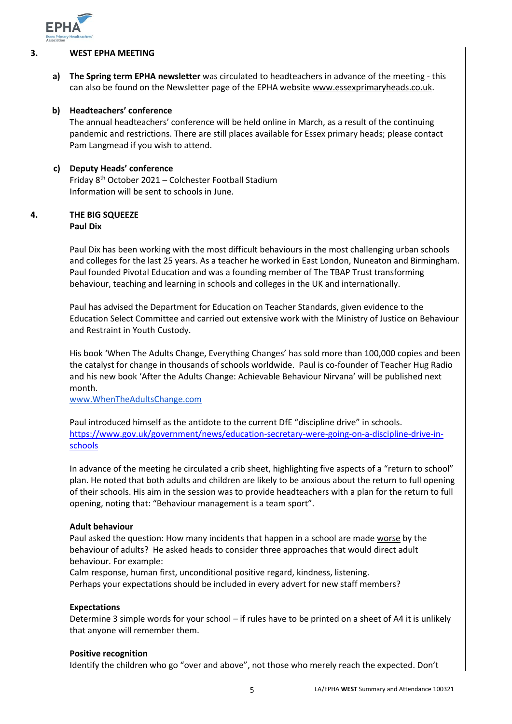

#### **3. WEST EPHA MEETING**

**a) The Spring term EPHA newsletter** was circulated to headteachers in advance of the meeting - this can also be found on the Newsletter page of the EPHA website [www.essexprimaryheads.co.uk.](http://www.essexprimaryheads.co.uk/)

#### **b) Headteachers' conference**

The annual headteachers' conference will be held online in March, as a result of the continuing pandemic and restrictions. There are still places available for Essex primary heads; please contact Pam Langmead if you wish to attend.

#### **c) Deputy Heads' conference**

Friday 8th October 2021 – Colchester Football Stadium Information will be sent to schools in June.

#### **4. THE BIG SQUEEZE Paul Dix**

Paul Dix has been working with the most difficult behaviours in the most challenging urban schools and colleges for the last 25 years. As a teacher he worked in East London, Nuneaton and Birmingham. Paul founded Pivotal Education and was a founding member of The TBAP Trust transforming behaviour, teaching and learning in schools and colleges in the UK and internationally.

Paul has advised the Department for Education on Teacher Standards, given evidence to the Education Select Committee and carried out extensive work with the Ministry of Justice on Behaviour and Restraint in Youth Custody.

His book 'When The Adults Change, Everything Changes' has sold more than 100,000 copies and been the catalyst for change in thousands of schools worldwide. Paul is co-founder of Teacher Hug Radio and his new book 'After the Adults Change: Achievable Behaviour Nirvana' will be published next month.

[www.WhenTheAdultsChange.com](http://www.whentheadultschange.com/)

Paul introduced himself as the antidote to the current DfE "discipline drive" in schools. [https://www.gov.uk/government/news/education-secretary-were-going-on-a-discipline-drive-in](https://www.gov.uk/government/news/education-secretary-were-going-on-a-discipline-drive-in-schools)[schools](https://www.gov.uk/government/news/education-secretary-were-going-on-a-discipline-drive-in-schools)

In advance of the meeting he circulated a crib sheet, highlighting five aspects of a "return to school" plan. He noted that both adults and children are likely to be anxious about the return to full opening of their schools. His aim in the session was to provide headteachers with a plan for the return to full opening, noting that: "Behaviour management is a team sport".

#### **Adult behaviour**

Paul asked the question: How many incidents that happen in a school are made worse by the behaviour of adults? He asked heads to consider three approaches that would direct adult behaviour. For example:

Calm response, human first, unconditional positive regard, kindness, listening. Perhaps your expectations should be included in every advert for new staff members?

#### **Expectations**

Determine 3 simple words for your school – if rules have to be printed on a sheet of A4 it is unlikely that anyone will remember them.

#### **Positive recognition**

Identify the children who go "over and above", not those who merely reach the expected. Don't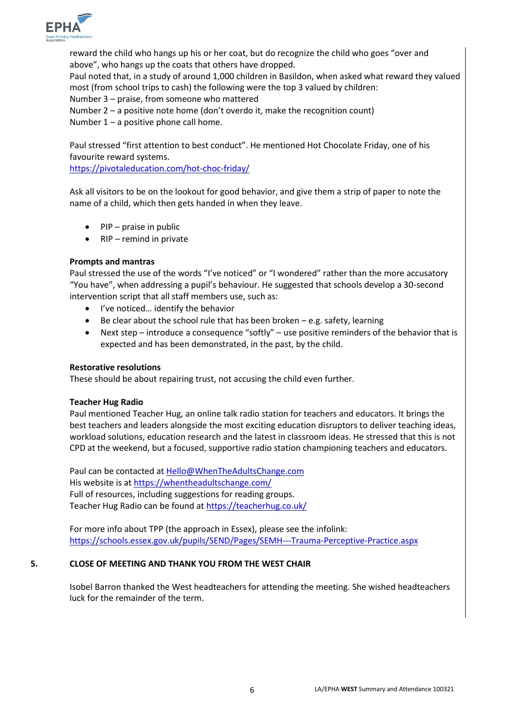

reward the child who hangs up his or her coat, but do recognize the child who goes "over and above", who hangs up the coats that others have dropped. Paul noted that, in a study of around 1,000 children in Basildon, when asked what reward they valued most (from school trips to cash) the following were the top 3 valued by children: Number 3 – praise, from someone who mattered Number 2 – a positive note home (don't overdo it, make the recognition count) Number  $1 - a$  positive phone call home.

Paul stressed "first attention to best conduct". He mentioned Hot Chocolate Friday, one of his favourite reward systems.

<https://pivotaleducation.com/hot-choc-friday/>

Ask all visitors to be on the lookout for good behavior, and give them a strip of paper to note the name of a child, which then gets handed in when they leave.

- PIP praise in public
- RIP remind in private

#### **Prompts and mantras**

Paul stressed the use of the words "I've noticed" or "I wondered" rather than the more accusatory "You have", when addressing a pupil's behaviour. He suggested that schools develop a 30-second intervention script that all staff members use, such as:

- I've noticed… identify the behavior
- $\bullet$  Be clear about the school rule that has been broken e.g. safety, learning
- Next step introduce a consequence "softly" use positive reminders of the behavior that is expected and has been demonstrated, in the past, by the child.

#### **Restorative resolutions**

These should be about repairing trust, not accusing the child even further.

#### **Teacher Hug Radio**

Paul mentioned Teacher Hug, an online talk radio station for teachers and educators. It brings the best teachers and leaders alongside the most exciting education disruptors to deliver teaching ideas, workload solutions, education research and the latest in classroom ideas. He stressed that this is not CPD at the weekend, but a focused, supportive radio station championing teachers and educators.

Paul can be contacted a[t Hello@WhenTheAdultsChange.com](mailto:Hello@WhenTheAdultsChange.com) His website is a[t https://whentheadultschange.com/](https://whentheadultschange.com/) Full of resources, including suggestions for reading groups. Teacher Hug Radio can be found at<https://teacherhug.co.uk/>

For more info about TPP (the approach in Essex), please see the infolink: <https://schools.essex.gov.uk/pupils/SEND/Pages/SEMH---Trauma-Perceptive-Practice.aspx>

#### **5. CLOSE OF MEETING AND THANK YOU FROM THE WEST CHAIR**

Isobel Barron thanked the West headteachers for attending the meeting. She wished headteachers luck for the remainder of the term.